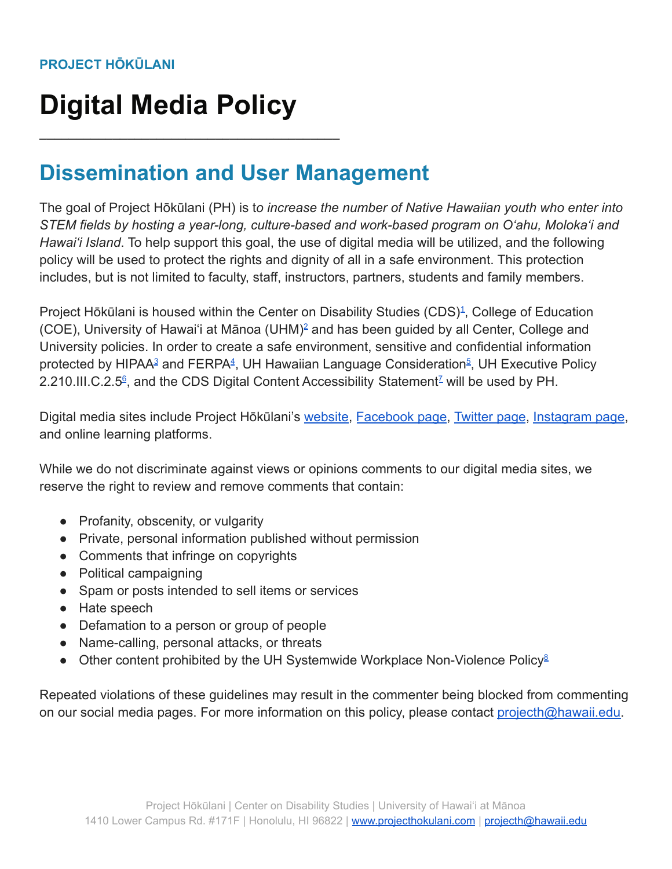## **Digital Media Policy**

**\_\_\_\_\_\_\_\_\_\_\_\_\_\_\_\_\_\_\_\_\_\_\_\_\_\_\_\_\_\_\_\_\_\_\_\_\_\_\_\_\_**

## **Dissemination and User Management**

The goal of Project Hōkūlani (PH) is t*o increase the number of Native Hawaiian youth who enter into STEM fields by hosting a year-long, culture-based and work-based program on Oʻahu, Molokaʻi and Hawaiʻi Island*. To help support this goal, the use of digital media will be utilized, and the following policy will be used to protect the rights and dignity of all in a safe environment. This protection includes, but is not limited to faculty, staff, instructors, partners, students and family members.

Project Hōkūlani is housed within the Center on Disability Studies (CDS)<sup>[1](#page-1-0)</sup>, College of Education (COE), University of Hawai'i at Mānoa (UHM)<sup>[2](#page-1-1)</sup> and has been guided by all Center, College and University policies. In order to create a safe environment, sensitive and confidential information protected by HIPAA<sup>[3](#page-1-2)</sup> and FERPA<sup>[4](#page-1-3)</sup>, UH Hawaiian Language Consideration<sup>[5](#page-1-4)</sup>, UH Executive Policy 2.210.III.C.2.5<sup>[6](#page-1-5)</sup>, and the CDS Digital Content Accessibility Statement<sup>Z</sup> will be used by PH.

Digital media sites include Project Hōkūlani's [website,](https://cds.coe.hawaii.edu/hokulani) [Facebook page](https://www.facebook.com/projecthokulani), [Twitter page](https://twitter.com/PHokulani), [Instagram page](https://www.instagram.com/project_hokulani/), and online learning platforms.

While we do not discriminate against views or opinions comments to our digital media sites, we reserve the right to review and remove comments that contain:

- Profanity, obscenity, or vulgarity
- Private, personal information published without permission
- Comments that infringe on copyrights
- Political campaigning
- Spam or posts intended to sell items or services
- Hate speech
- Defamation to a person or group of people
- Name-calling, personal attacks, or threats
- Other content prohibited by the UH Systemwide Workplace Non-Violence Policy<sup>[8](#page-1-7)</sup>

Repeated violations of these guidelines may result in the commenter being blocked from commenting on our social media pages. For more information on this policy, please contact [projecth@hawaii.edu.](mailto:projecth@hawaii.edu)